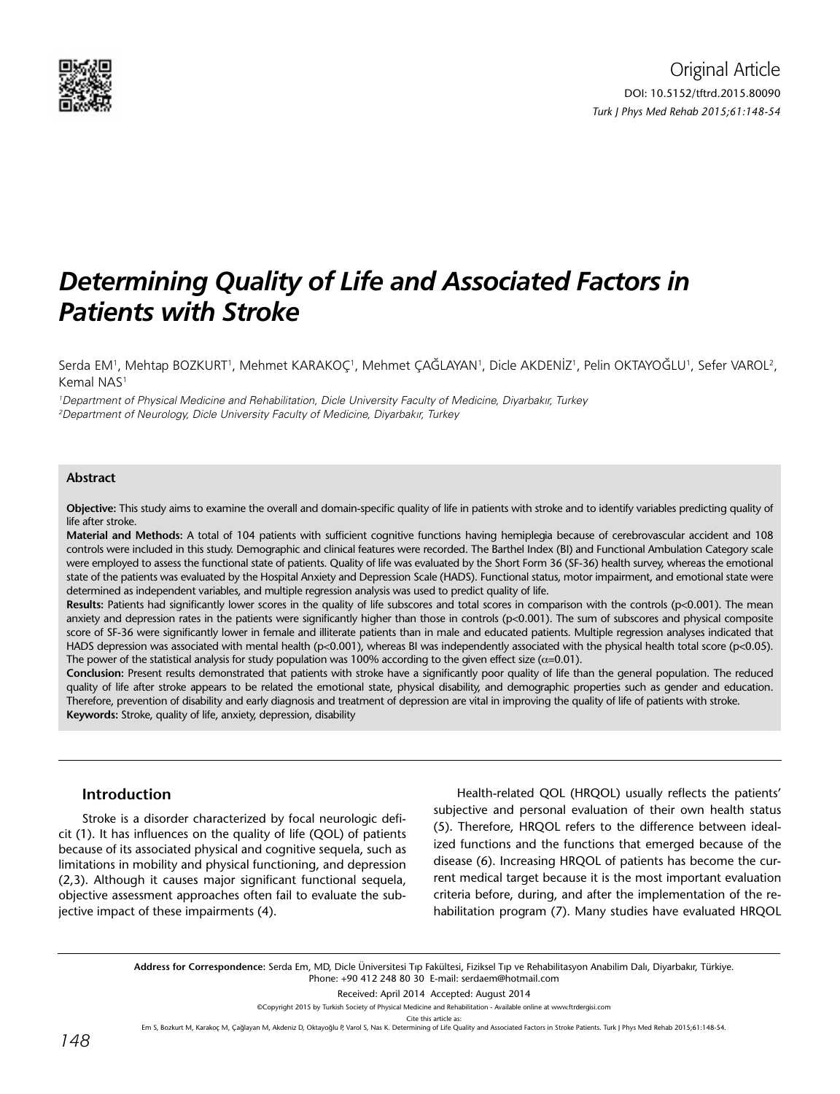

# *Determining Quality of Life and Associated Factors in Patients with Stroke*

Serda EM', Mehtap BOZKURT', Mehmet KARAKOÇ', Mehmet ÇAĞLAYAN', Dicle AKDENİZ', Pelin OKTAYOĞLU', Sefer VAROL<sup>2</sup>, Kemal NAS<sup>1</sup>

1 Department of Physical Medicine and Rehabilitation, Dicle University Faculty of Medicine, Diyarbakır, Turkey 2 Department of Neurology, Dicle University Faculty of Medicine, Diyarbakır, Turkey

### **Abstract**

**Objective:** This study aims to examine the overall and domain-specific quality of life in patients with stroke and to identify variables predicting quality of life after stroke.

**Material and Methods:** A total of 104 patients with sufficient cognitive functions having hemiplegia because of cerebrovascular accident and 108 controls were included in this study. Demographic and clinical features were recorded. The Barthel Index (BI) and Functional Ambulation Category scale were employed to assess the functional state of patients. Quality of life was evaluated by the Short Form 36 (SF-36) health survey, whereas the emotional state of the patients was evaluated by the Hospital Anxiety and Depression Scale (HADS). Functional status, motor impairment, and emotional state were determined as independent variables, and multiple regression analysis was used to predict quality of life.

**Results:** Patients had significantly lower scores in the quality of life subscores and total scores in comparison with the controls (p<0.001). The mean anxiety and depression rates in the patients were significantly higher than those in controls (p<0.001). The sum of subscores and physical composite score of SF-36 were significantly lower in female and illiterate patients than in male and educated patients. Multiple regression analyses indicated that HADS depression was associated with mental health (p<0.001), whereas BI was independently associated with the physical health total score (p<0.05). The power of the statistical analysis for study population was 100% according to the given effect size ( $\alpha$ =0.01).

**Conclusion:** Present results demonstrated that patients with stroke have a significantly poor quality of life than the general population. The reduced quality of life after stroke appears to be related the emotional state, physical disability, and demographic properties such as gender and education. Therefore, prevention of disability and early diagnosis and treatment of depression are vital in improving the quality of life of patients with stroke. **Keywords:** Stroke, quality of life, anxiety, depression, disability

## **Introduction**

Stroke is a disorder characterized by focal neurologic deficit (1). It has influences on the quality of life (QOL) of patients because of its associated physical and cognitive sequela, such as limitations in mobility and physical functioning, and depression (2,3). Although it causes major significant functional sequela, objective assessment approaches often fail to evaluate the subjective impact of these impairments (4).

Health-related QOL (HRQOL) usually reflects the patients' subjective and personal evaluation of their own health status (5). Therefore, HRQOL refers to the difference between idealized functions and the functions that emerged because of the disease (6). Increasing HRQOL of patients has become the current medical target because it is the most important evaluation criteria before, during, and after the implementation of the rehabilitation program (7). Many studies have evaluated HRQOL

**Address for Correspondence:** Serda Em, MD, Dicle Üniversitesi Tıp Fakültesi, Fiziksel Tıp ve Rehabilitasyon Anabilim Dalı, Diyarbakır, Türkiye. Phone: +90 412 248 80 30 E-mail: serdaem@hotmail.com

Received: April 2014 Accepted: August 2014

©Copyright 2015 by Turkish Society of Physical Medicine and Rehabilitation - Available online at www.ftrdergisi.com

Cite this article as

Em S, Bozkurt M, Karakoç M, Çağlayan M, Akdeniz D, Oktayoğlu P, Varol S, Nas K. Determining of Life Quality and Associated Factors in Stroke Patients. Turk J Phys Med Rehab 2015;61:148-54.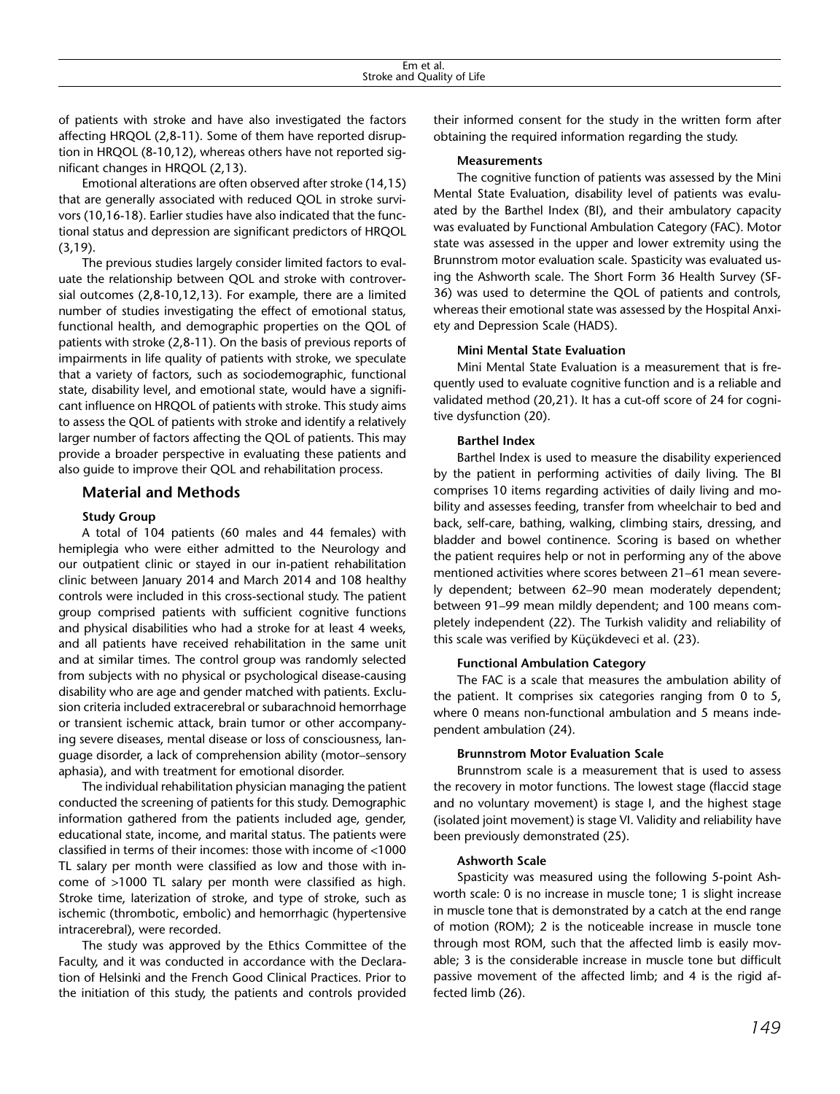of patients with stroke and have also investigated the factors affecting HRQOL (2,8-11). Some of them have reported disruption in HRQOL (8-10,12), whereas others have not reported significant changes in HRQOL (2,13).

Emotional alterations are often observed after stroke (14,15) that are generally associated with reduced QOL in stroke survivors (10,16-18). Earlier studies have also indicated that the functional status and depression are significant predictors of HRQOL (3,19).

The previous studies largely consider limited factors to evaluate the relationship between QOL and stroke with controversial outcomes (2,8-10,12,13). For example, there are a limited number of studies investigating the effect of emotional status, functional health, and demographic properties on the QOL of patients with stroke (2,8-11). On the basis of previous reports of impairments in life quality of patients with stroke, we speculate that a variety of factors, such as sociodemographic, functional state, disability level, and emotional state, would have a significant influence on HRQOL of patients with stroke. This study aims to assess the QOL of patients with stroke and identify a relatively larger number of factors affecting the QOL of patients. This may provide a broader perspective in evaluating these patients and also guide to improve their QOL and rehabilitation process.

## **Material and Methods**

## **Study Group**

A total of 104 patients (60 males and 44 females) with hemiplegia who were either admitted to the Neurology and our outpatient clinic or stayed in our in-patient rehabilitation clinic between January 2014 and March 2014 and 108 healthy controls were included in this cross-sectional study. The patient group comprised patients with sufficient cognitive functions and physical disabilities who had a stroke for at least 4 weeks, and all patients have received rehabilitation in the same unit and at similar times. The control group was randomly selected from subjects with no physical or psychological disease-causing disability who are age and gender matched with patients. Exclusion criteria included extracerebral or subarachnoid hemorrhage or transient ischemic attack, brain tumor or other accompanying severe diseases, mental disease or loss of consciousness, language disorder, a lack of comprehension ability (motor–sensory aphasia), and with treatment for emotional disorder.

The individual rehabilitation physician managing the patient conducted the screening of patients for this study. Demographic information gathered from the patients included age, gender, educational state, income, and marital status. The patients were classified in terms of their incomes: those with income of <1000 TL salary per month were classified as low and those with income of >1000 TL salary per month were classified as high. Stroke time, laterization of stroke, and type of stroke, such as ischemic (thrombotic, embolic) and hemorrhagic (hypertensive intracerebral), were recorded.

The study was approved by the Ethics Committee of the Faculty, and it was conducted in accordance with the Declaration of Helsinki and the French Good Clinical Practices. Prior to the initiation of this study, the patients and controls provided their informed consent for the study in the written form after obtaining the required information regarding the study.

#### **Measurements**

The cognitive function of patients was assessed by the Mini Mental State Evaluation, disability level of patients was evaluated by the Barthel Index (BI), and their ambulatory capacity was evaluated by Functional Ambulation Category (FAC). Motor state was assessed in the upper and lower extremity using the Brunnstrom motor evaluation scale. Spasticity was evaluated using the Ashworth scale. The Short Form 36 Health Survey (SF-36) was used to determine the QOL of patients and controls, whereas their emotional state was assessed by the Hospital Anxiety and Depression Scale (HADS).

### **Mini Mental State Evaluation**

Mini Mental State Evaluation is a measurement that is frequently used to evaluate cognitive function and is a reliable and validated method (20,21). It has a cut-off score of 24 for cognitive dysfunction (20).

### **Barthel Index**

Barthel Index is used to measure the disability experienced by the patient in performing activities of daily living. The BI comprises 10 items regarding activities of daily living and mobility and assesses feeding, transfer from wheelchair to bed and back, self-care, bathing, walking, climbing stairs, dressing, and bladder and bowel continence. Scoring is based on whether the patient requires help or not in performing any of the above mentioned activities where scores between 21–61 mean severely dependent; between 62–90 mean moderately dependent; between 91–99 mean mildly dependent; and 100 means completely independent (22). The Turkish validity and reliability of this scale was verified by Küçükdeveci et al. (23).

#### **Functional Ambulation Category**

The FAC is a scale that measures the ambulation ability of the patient. It comprises six categories ranging from 0 to 5, where 0 means non-functional ambulation and 5 means independent ambulation (24).

#### **Brunnstrom Motor Evaluation Scale**

Brunnstrom scale is a measurement that is used to assess the recovery in motor functions. The lowest stage (flaccid stage and no voluntary movement) is stage I, and the highest stage (isolated joint movement) is stage VI. Validity and reliability have been previously demonstrated (25).

#### **Ashworth Scale**

Spasticity was measured using the following 5-point Ashworth scale: 0 is no increase in muscle tone; 1 is slight increase in muscle tone that is demonstrated by a catch at the end range of motion (ROM); 2 is the noticeable increase in muscle tone through most ROM, such that the affected limb is easily movable; 3 is the considerable increase in muscle tone but difficult passive movement of the affected limb; and 4 is the rigid affected limb (26).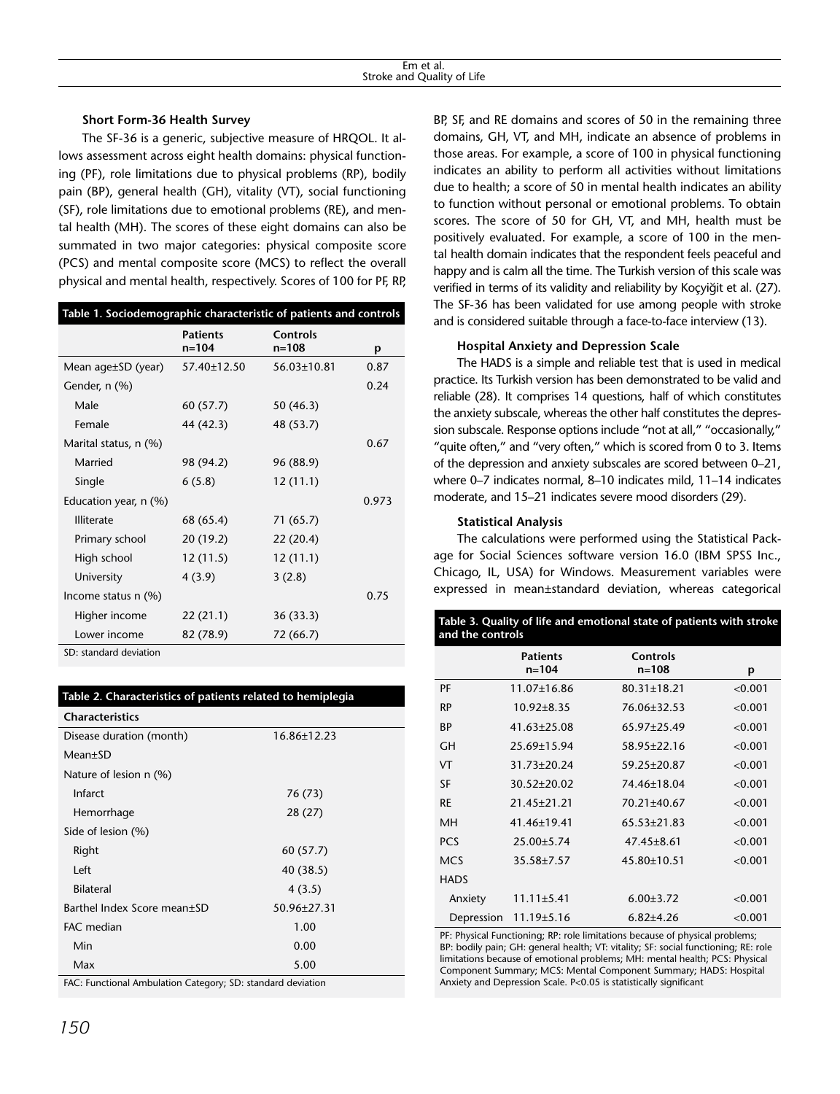## **Short Form-36 Health Survey**

The SF-36 is a generic, subjective measure of HRQOL. It allows assessment across eight health domains: physical functioning (PF), role limitations due to physical problems (RP), bodily pain (BP), general health (GH), vitality (VT), social functioning (SF), role limitations due to emotional problems (RE), and mental health (MH). The scores of these eight domains can also be summated in two major categories: physical composite score (PCS) and mental composite score (MCS) to reflect the overall physical and mental health, respectively. Scores of 100 for PF, RP,

| Table 1. Sociodemographic characteristic of patients and controls |                              |                       |       |  |  |
|-------------------------------------------------------------------|------------------------------|-----------------------|-------|--|--|
|                                                                   | <b>Patients</b><br>$n = 104$ | Controls<br>$n = 108$ | р     |  |  |
| Mean $aqe \pm SD$ (year)                                          | 57.40±12.50                  | 56.03±10.81           | 0.87  |  |  |
| Gender, n (%)                                                     |                              |                       | 0.24  |  |  |
| Male                                                              | 60 (57.7)                    | 50(46.3)              |       |  |  |
| Female                                                            | 44 (42.3)                    | 48 (53.7)             |       |  |  |
| Marital status, n (%)                                             |                              |                       | 0.67  |  |  |
| Married                                                           | 98 (94.2)                    | 96 (88.9)             |       |  |  |
| Single                                                            | 6(5.8)                       | 12(11.1)              |       |  |  |
| Education year, n (%)                                             |                              |                       | 0.973 |  |  |
| <b>Illiterate</b>                                                 | 68 (65.4)                    | 71(65.7)              |       |  |  |
| Primary school                                                    | 20 (19.2)                    | 22 (20.4)             |       |  |  |
| High school                                                       | 12 (11.5)                    | 12(11.1)              |       |  |  |
| University                                                        | 4(3.9)                       | 3(2.8)                |       |  |  |
| Income status $n$ (%)                                             |                              |                       | 0.75  |  |  |
| Higher income                                                     | 22(21.1)                     | 36(33.3)              |       |  |  |
| Lower income                                                      | 82 (78.9)                    | 72 (66.7)             |       |  |  |
|                                                                   |                              |                       |       |  |  |

SD: standard deviation

| Table 2. Characteristics of patients related to hemiplegia  |                   |  |  |  |  |
|-------------------------------------------------------------|-------------------|--|--|--|--|
| <b>Characteristics</b>                                      |                   |  |  |  |  |
| Disease duration (month)                                    | 16.86±12.23       |  |  |  |  |
| Mean±SD                                                     |                   |  |  |  |  |
| Nature of lesion n (%)                                      |                   |  |  |  |  |
| Infarct                                                     | 76 (73)           |  |  |  |  |
| Hemorrhage                                                  | 28 (27)           |  |  |  |  |
| Side of lesion (%)                                          |                   |  |  |  |  |
| Right                                                       | 60 (57.7)         |  |  |  |  |
| Left                                                        | 40 (38.5)         |  |  |  |  |
| <b>Bilateral</b>                                            | 4(3.5)            |  |  |  |  |
| Barthel Index Score mean±SD                                 | $50.96 \pm 27.31$ |  |  |  |  |
| FAC median                                                  | 1.00              |  |  |  |  |
| Min                                                         | 0.00              |  |  |  |  |
| Max                                                         | 5.00              |  |  |  |  |
| FAC: Functional Ambulation Category; SD: standard deviation |                   |  |  |  |  |

*150*

BP, SF, and RE domains and scores of 50 in the remaining three domains, GH, VT, and MH, indicate an absence of problems in those areas. For example, a score of 100 in physical functioning indicates an ability to perform all activities without limitations due to health; a score of 50 in mental health indicates an ability to function without personal or emotional problems. To obtain scores. The score of 50 for GH, VT, and MH, health must be positively evaluated. For example, a score of 100 in the mental health domain indicates that the respondent feels peaceful and happy and is calm all the time. The Turkish version of this scale was verified in terms of its validity and reliability by Koçyiğit et al. (27). The SF-36 has been validated for use among people with stroke and is considered suitable through a face-to-face interview (13).

## **Hospital Anxiety and Depression Scale**

The HADS is a simple and reliable test that is used in medical practice. Its Turkish version has been demonstrated to be valid and reliable (28). It comprises 14 questions, half of which constitutes the anxiety subscale, whereas the other half constitutes the depression subscale. Response options include "not at all," "occasionally," "quite often," and "very often," which is scored from 0 to 3. Items of the depression and anxiety subscales are scored between 0–21, where 0–7 indicates normal, 8–10 indicates mild, 11–14 indicates moderate, and 15–21 indicates severe mood disorders (29).

## **Statistical Analysis**

The calculations were performed using the Statistical Package for Social Sciences software version 16.0 (IBM SPSS Inc., Chicago, IL, USA) for Windows. Measurement variables were expressed in mean±standard deviation, whereas categorical

| Table 3. Quality of life and emotional state of patients with stroke<br>and the controls |                              |                              |         |  |  |
|------------------------------------------------------------------------------------------|------------------------------|------------------------------|---------|--|--|
|                                                                                          | <b>Patients</b><br>$n = 104$ | <b>Controls</b><br>$n = 108$ | p       |  |  |
| PF                                                                                       | 11.07±16.86                  | $80.31 \pm 18.21$            | < 0.001 |  |  |
| RP                                                                                       | $10.92 \pm 8.35$             | 76.06±32.53                  | < 0.001 |  |  |
| ВP                                                                                       | $41.63 + 25.08$              | 65.97+25.49                  | < 0.001 |  |  |
| GН                                                                                       | 25.69±15.94                  | 58.95±22.16                  | < 0.001 |  |  |
| VT                                                                                       | $31.73 \pm 20.24$            | 59.25±20.87                  | < 0.001 |  |  |
| SF                                                                                       | $30.52 \pm 20.02$            | 74.46±18.04                  | < 0.001 |  |  |
| RE                                                                                       | $21.45 + 21.21$              | 70.21±40.67                  | < 0.001 |  |  |
| MН                                                                                       | 41.46±19.41                  | $65.53 \pm 21.83$            | < 0.001 |  |  |
| <b>PCS</b>                                                                               | $25.00 \pm 5.74$             | $47.45 \pm 8.61$             | < 0.001 |  |  |
| <b>MCS</b>                                                                               | 35.58±7.57                   | 45.80±10.51                  | < 0.001 |  |  |
| <b>HADS</b>                                                                              |                              |                              |         |  |  |
| Anxiety                                                                                  | $11.11 \pm 5.41$             | $6.00 \pm 3.72$              | < 0.001 |  |  |
| Depression                                                                               | $11.19 \pm 5.16$             | $6.82{\pm}4.26$              | < 0.001 |  |  |

PF: Physical Functioning; RP: role limitations because of physical problems; BP: bodily pain; GH: general health; VT: vitality; SF: social functioning; RE: role limitations because of emotional problems; MH: mental health; PCS: Physical Component Summary; MCS: Mental Component Summary; HADS: Hospital Anxiety and Depression Scale. P<0.05 is statistically significant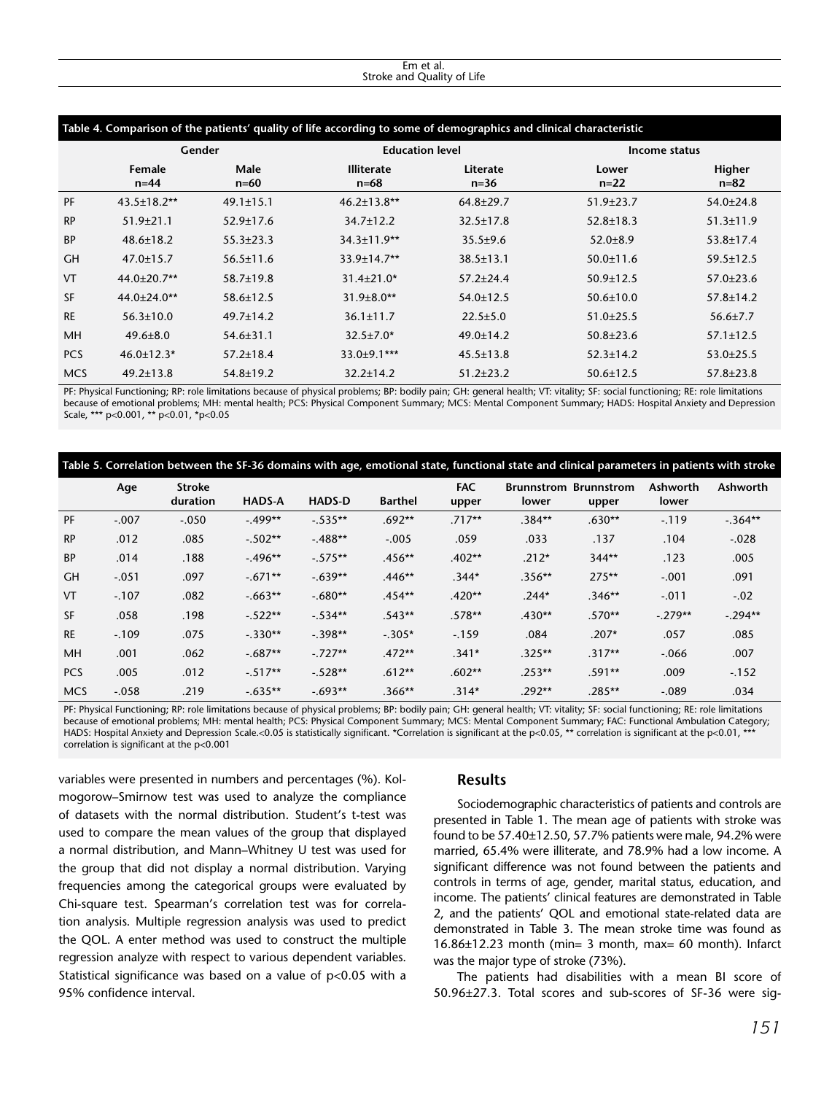#### Em et al. Stroke and Quality of Life

|            | Table 4. Comparison of the patients' quality of life according to some of demographics and clinical characteristic<br>Gender |                 | <b>Education level</b>        |                      | Income status   |                    |  |
|------------|------------------------------------------------------------------------------------------------------------------------------|-----------------|-------------------------------|----------------------|-----------------|--------------------|--|
|            | Female<br>$n=44$                                                                                                             | Male<br>$n=60$  | <b>Illiterate</b><br>$n = 68$ | Literate<br>$n = 36$ | Lower<br>$n=22$ | Higher<br>$n = 82$ |  |
| PF         | $43.5 \pm 18.2$ **                                                                                                           | $49.1 \pm 15.1$ | $46.2 \pm 13.8$ **            | $64.8 \pm 29.7$      | $51.9 \pm 23.7$ | $54.0 \pm 24.8$    |  |
| <b>RP</b>  | $51.9 \pm 21.1$                                                                                                              | $52.9 \pm 17.6$ | $34.7 \pm 12.2$               | $32.5 \pm 17.8$      | $52.8 \pm 18.3$ | $51.3 \pm 11.9$    |  |
| <b>BP</b>  | $48.6 \pm 18.2$                                                                                                              | $55.3 \pm 23.3$ | 34.3±11.9**                   | $35.5 \pm 9.6$       | $52.0 \pm 8.9$  | $53.8 \pm 17.4$    |  |
| <b>GH</b>  | $47.0 \pm 15.7$                                                                                                              | $56.5 \pm 11.6$ | 33.9±14.7**                   | $38.5 \pm 13.1$      | $50.0 \pm 11.6$ | $59.5 \pm 12.5$    |  |
| VT         | 44.0±20.7**                                                                                                                  | $58.7 \pm 19.8$ | $31.4 \pm 21.0*$              | $57.2 \pm 24.4$      | $50.9 \pm 12.5$ | $57.0 \pm 23.6$    |  |
| <b>SF</b>  | $44.0 \pm 24.0$ **                                                                                                           | $58.6 \pm 12.5$ | $31.9 \pm 8.0$ **             | $54.0 \pm 12.5$      | $50.6 \pm 10.0$ | $57.8 \pm 14.2$    |  |
| <b>RE</b>  | $56.3 \pm 10.0$                                                                                                              | $49.7 \pm 14.2$ | $36.1 \pm 11.7$               | $22.5 \pm 5.0$       | $51.0 \pm 25.5$ | $56.6 \pm 7.7$     |  |
| MH         | $49.6 \pm 8.0$                                                                                                               | $54.6 \pm 31.1$ | $32.5 \pm 7.0*$               | $49.0 \pm 14.2$      | $50.8 \pm 23.6$ | $57.1 \pm 12.5$    |  |
| <b>PCS</b> | $46.0 \pm 12.3*$                                                                                                             | $57.2 \pm 18.4$ | $33.0 \pm 9.1$ ***            | $45.5 \pm 13.8$      | $52.3 \pm 14.2$ | $53.0 \pm 25.5$    |  |
| <b>MCS</b> | $49.2 \pm 13.8$                                                                                                              | $54.8 \pm 19.2$ | $32.2 \pm 14.2$               | $51.2 \pm 23.2$      | $50.6 \pm 12.5$ | $57.8 \pm 23.8$    |  |

PF: Physical Functioning; RP: role limitations because of physical problems; BP: bodily pain; GH: general health; VT: vitality; SF: social functioning; RE: role limitations because of emotional problems; MH: mental health; PCS: Physical Component Summary; MCS: Mental Component Summary; HADS: Hospital Anxiety and Depression Scale, \*\*\* p<0.001, \*\* p<0.01, \*p<0.05

| Table 5. Correlation between the SF-36 domains with age, emotional state, functional state and clinical parameters in patients with stroke |         |                           |               |               |                |                     |                                   |                            |                   |           |
|--------------------------------------------------------------------------------------------------------------------------------------------|---------|---------------------------|---------------|---------------|----------------|---------------------|-----------------------------------|----------------------------|-------------------|-----------|
|                                                                                                                                            | Age     | <b>Stroke</b><br>duration | <b>HADS-A</b> | <b>HADS-D</b> | <b>Barthel</b> | <b>TAC</b><br>upper | <b>Brunnstrom</b><br><b>lower</b> | <b>Brunnstrom</b><br>upper | Ashworth<br>lower | Ashworth  |
| PF                                                                                                                                         | $-.007$ | $-.050$                   | $-.499**$     | $-.535**$     | $.692**$       | $.717**$            | $.384**$                          | $.630**$                   | $-119$            | $-.364**$ |
| <b>RP</b>                                                                                                                                  | .012    | .085                      | $-.502**$     | $-.488**$     | $-.005$        | .059                | .033                              | .137                       | .104              | $-.028$   |
| <b>BP</b>                                                                                                                                  | .014    | .188                      | $-.496**$     | $-.575**$     | $.456**$       | $.402**$            | $.212*$                           | $344**$                    | .123              | .005      |
| <b>GH</b>                                                                                                                                  | $-.051$ | .097                      | $-.671**$     | $-.639**$     | $.446**$       | $.344*$             | $.356**$                          | $275**$                    | $-.001$           | .091      |
| VT                                                                                                                                         | $-.107$ | .082                      | $-.663**$     | $-.680**$     | $.454**$       | $.420**$            | $.244*$                           | $.346**$                   | $-.011$           | $-.02$    |
| <b>SF</b>                                                                                                                                  | .058    | .198                      | $-.522**$     | $-.534**$     | $.543**$       | $.578**$            | $.430**$                          | $.570**$                   | $-.279**$         | $-.294**$ |
| <b>RE</b>                                                                                                                                  | $-.109$ | .075                      | $-.330**$     | $-.398**$     | $-.305*$       | $-159$              | .084                              | $.207*$                    | .057              | .085      |
| <b>MH</b>                                                                                                                                  | .001    | .062                      | $-.687**$     | $-.727**$     | $.472**$       | $.341*$             | $.325**$                          | $.317**$                   | $-.066$           | .007      |
| <b>PCS</b>                                                                                                                                 | .005    | .012                      | $-.517**$     | $-.528**$     | $.612**$       | $.602**$            | $.253**$                          | $.591**$                   | .009              | $-152$    |
| <b>MCS</b>                                                                                                                                 | $-.058$ | .219                      | $-.635**$     | $-.693**$     | $.366**$       | $.314*$             | $.292**$                          | $.285**$                   | $-.089$           | .034      |

PF: Physical Functioning; RP: role limitations because of physical problems; BP: bodily pain; GH: general health; VT: vitality; SF: social functioning; RE: role limitations because of emotional problems; MH: mental health; PCS: Physical Component Summary; MCS: Mental Component Summary; FAC: Functional Ambulation Category; HADS: Hospital Anxiety and Depression Scale.<0.05 is statistically significant. \*Correlation is significant at the p<0.05, \*\* correlation is significant at the p<0.01, \*\*\* correlation is significant at the p<0.001

variables were presented in numbers and percentages (%). Kolmogorow–Smirnow test was used to analyze the compliance of datasets with the normal distribution. Student's t-test was used to compare the mean values of the group that displayed a normal distribution, and Mann–Whitney U test was used for the group that did not display a normal distribution. Varying frequencies among the categorical groups were evaluated by Chi-square test. Spearman's correlation test was for correlation analysis. Multiple regression analysis was used to predict the QOL. A enter method was used to construct the multiple regression analyze with respect to various dependent variables. Statistical significance was based on a value of p<0.05 with a 95% confidence interval.

#### **Results**

Sociodemographic characteristics of patients and controls are presented in Table 1. The mean age of patients with stroke was found to be 57.40±12.50, 57.7% patients were male, 94.2% were married, 65.4% were illiterate, and 78.9% had a low income. A significant difference was not found between the patients and controls in terms of age, gender, marital status, education, and income. The patients' clinical features are demonstrated in Table 2, and the patients' QOL and emotional state-related data are demonstrated in Table 3. The mean stroke time was found as  $16.86\pm12.23$  month (min= 3 month, max= 60 month). Infarct was the major type of stroke (73%).

The patients had disabilities with a mean BI score of 50.96±27.3. Total scores and sub-scores of SF-36 were sig-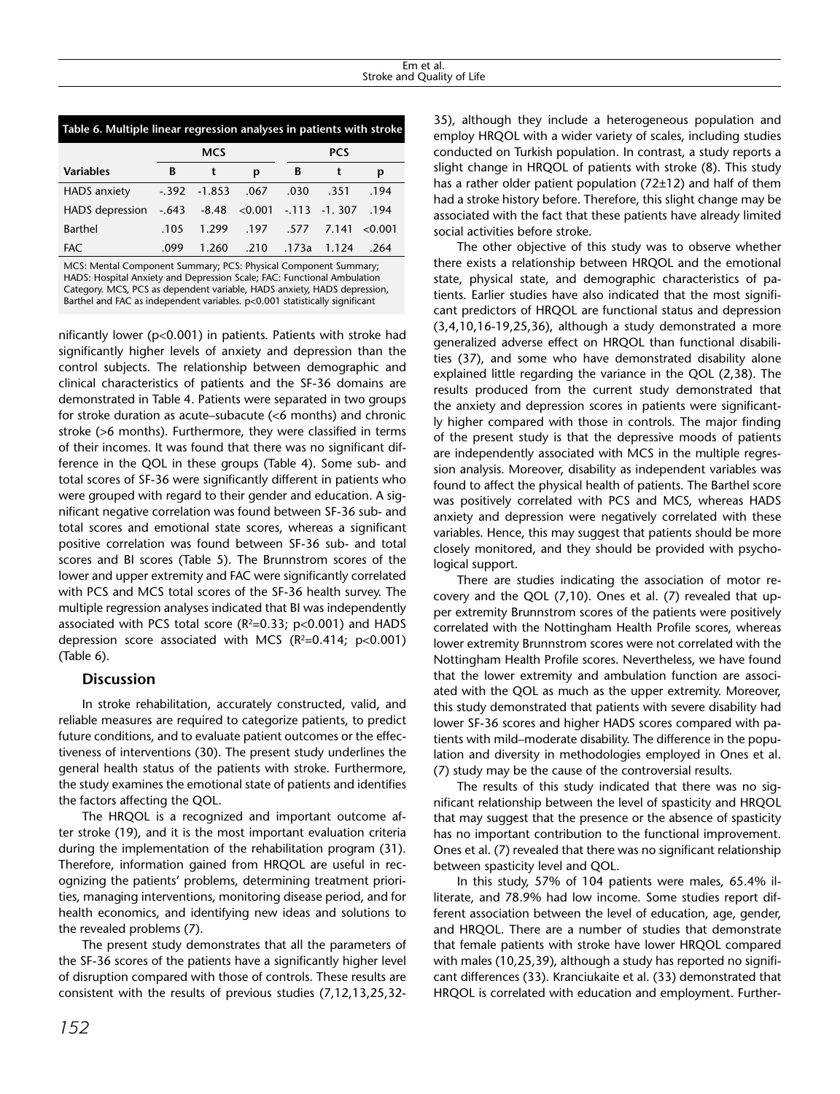| Table 6. Multiple linear regression analyses in patients with stroke |         |            |                 |            |                |         |  |
|----------------------------------------------------------------------|---------|------------|-----------------|------------|----------------|---------|--|
|                                                                      |         | <b>MCS</b> |                 | <b>PCS</b> |                |         |  |
| <b>Variables</b>                                                     | в       | t          | р               | B          | t              | р       |  |
| HADS anxiety                                                         | $-.392$ | $-1.853$   | .067            | .030       | .351           | .194    |  |
| <b>HADS</b> depression                                               | $-.643$ |            | $-8.48 < 0.001$ |            | $-113 - 1.307$ | .194    |  |
| Barthel                                                              | .105    | 1.299      | .197            | .577       | 7.141          | < 0.001 |  |
| <b>FAC</b>                                                           | .099    | 1.260      | .210            | .173a      | 1.124          | .264    |  |

MCS: Mental Component Summary; PCS: Physical Component Summary; HADS: Hospital Anxiety and Depression Scale; FAC: Functional Ambulation Category. MCS, PCS as dependent variable, HADS anxiety, HADS depression, Barthel and FAC as independent variables. p<0.001 statistically significant

nificantly lower (p<0.001) in patients. Patients with stroke had significantly higher levels of anxiety and depression than the control subjects. The relationship between demographic and clinical characteristics of patients and the SF-36 domains are demonstrated in Table 4. Patients were separated in two groups for stroke duration as acute–subacute (<6 months) and chronic stroke (>6 months). Furthermore, they were classified in terms of their incomes. It was found that there was no significant difference in the QOL in these groups (Table 4). Some sub- and total scores of SF-36 were significantly different in patients who were grouped with regard to their gender and education. A significant negative correlation was found between SF-36 sub- and total scores and emotional state scores, whereas a significant positive correlation was found between SF-36 sub- and total scores and BI scores (Table 5). The Brunnstrom scores of the lower and upper extremity and FAC were significantly correlated with PCS and MCS total scores of the SF-36 health survey. The multiple regression analyses indicated that BI was independently associated with PCS total score ( $R^2=0.33$ ;  $p<0.001$ ) and HADS depression score associated with MCS ( $R^2=0.414$ ;  $p<0.001$ ) (Table 6).

## **Discussion**

In stroke rehabilitation, accurately constructed, valid, and reliable measures are required to categorize patients, to predict future conditions, and to evaluate patient outcomes or the effectiveness of interventions (30). The present study underlines the general health status of the patients with stroke. Furthermore, the study examines the emotional state of patients and identifies the factors affecting the QOL.

The HRQOL is a recognized and important outcome after stroke (19), and it is the most important evaluation criteria during the implementation of the rehabilitation program (31). Therefore, information gained from HRQOL are useful in recognizing the patients' problems, determining treatment priorities, managing interventions, monitoring disease period, and for health economics, and identifying new ideas and solutions to the revealed problems (7).

The present study demonstrates that all the parameters of the SF-36 scores of the patients have a significantly higher level of disruption compared with those of controls. These results are consistent with the results of previous studies (7,12,13,25,32-

35), although they include a heterogeneous population and employ HRQOL with a wider variety of scales, including studies conducted on Turkish population. In contrast, a study reports a slight change in HRQOL of patients with stroke (8). This study has a rather older patient population (72±12) and half of them had a stroke history before. Therefore, this slight change may be associated with the fact that these patients have already limited social activities before stroke.

The other objective of this study was to observe whether there exists a relationship between HRQOL and the emotional state, physical state, and demographic characteristics of patients. Earlier studies have also indicated that the most significant predictors of HRQOL are functional status and depression (3,4,10,16-19,25,36), although a study demonstrated a more generalized adverse effect on HRQOL than functional disabilities (37), and some who have demonstrated disability alone explained little regarding the variance in the QOL (2,38). The results produced from the current study demonstrated that the anxiety and depression scores in patients were significantly higher compared with those in controls. The major finding of the present study is that the depressive moods of patients are independently associated with MCS in the multiple regression analysis. Moreover, disability as independent variables was found to affect the physical health of patients. The Barthel score was positively correlated with PCS and MCS, whereas HADS anxiety and depression were negatively correlated with these variables. Hence, this may suggest that patients should be more closely monitored, and they should be provided with psychological support.

There are studies indicating the association of motor recovery and the QOL (7,10). Ones et al. (7) revealed that upper extremity Brunnstrom scores of the patients were positively correlated with the Nottingham Health Profile scores, whereas lower extremity Brunnstrom scores were not correlated with the Nottingham Health Profile scores. Nevertheless, we have found that the lower extremity and ambulation function are associated with the QOL as much as the upper extremity. Moreover, this study demonstrated that patients with severe disability had lower SF-36 scores and higher HADS scores compared with patients with mild–moderate disability. The difference in the population and diversity in methodologies employed in Ones et al. (7) study may be the cause of the controversial results.

The results of this study indicated that there was no significant relationship between the level of spasticity and HRQOL that may suggest that the presence or the absence of spasticity has no important contribution to the functional improvement. Ones et al. (7) revealed that there was no significant relationship between spasticity level and QOL.

In this study, 57% of 104 patients were males, 65.4% illiterate, and 78.9% had low income. Some studies report different association between the level of education, age, gender, and HRQOL. There are a number of studies that demonstrate that female patients with stroke have lower HRQOL compared with males (10,25,39), although a study has reported no significant differences (33). Kranciukaite et al. (33) demonstrated that HRQOL is correlated with education and employment. Further-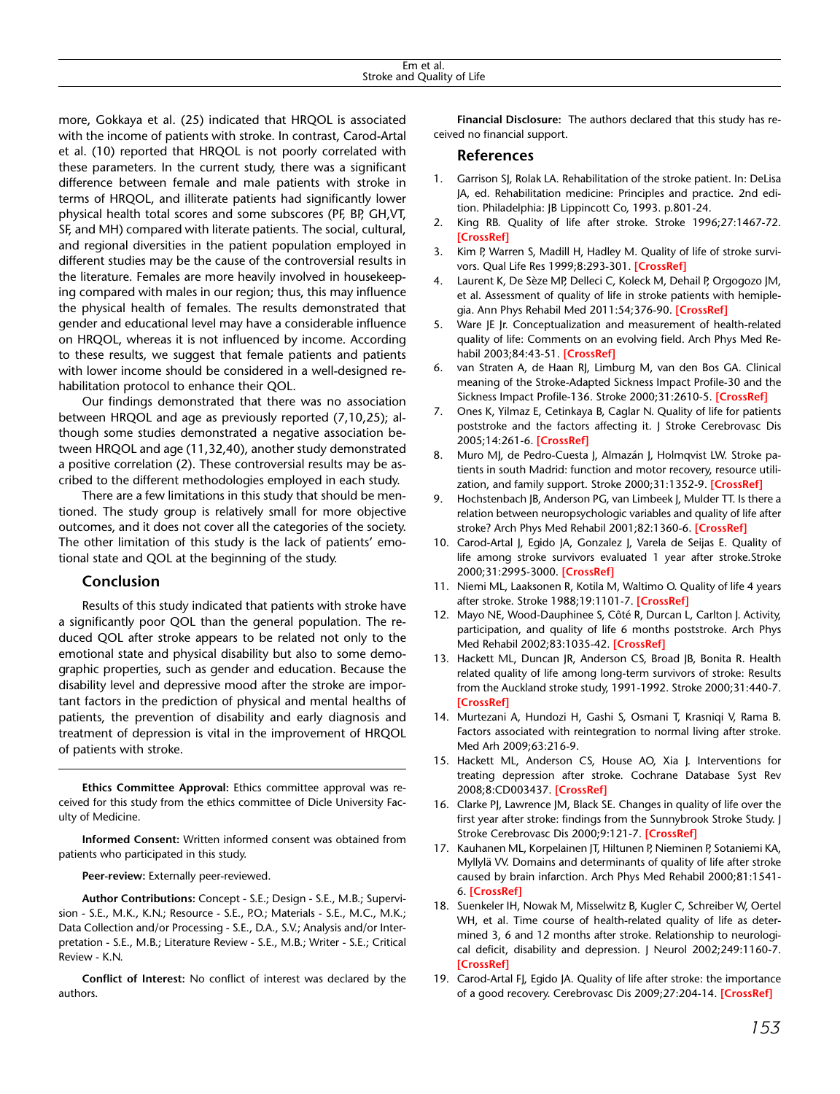| Em et al.                                           |  |
|-----------------------------------------------------|--|
| $\sim$<br>$\cdots$<br>Stroke and<br>Quality of Life |  |

more, Gokkaya et al. (25) indicated that HRQOL is associated with the income of patients with stroke. In contrast, Carod-Artal et al. (10) reported that HRQOL is not poorly correlated with these parameters. In the current study, there was a significant difference between female and male patients with stroke in terms of HRQOL, and illiterate patients had significantly lower physical health total scores and some subscores (PF, BP, GH,VT, SF, and MH) compared with literate patients. The social, cultural, and regional diversities in the patient population employed in different studies may be the cause of the controversial results in the literature. Females are more heavily involved in housekeeping compared with males in our region; thus, this may influence the physical health of females. The results demonstrated that gender and educational level may have a considerable influence on HRQOL, whereas it is not influenced by income. According to these results, we suggest that female patients and patients with lower income should be considered in a well-designed rehabilitation protocol to enhance their QOL.

Our findings demonstrated that there was no association between HRQOL and age as previously reported (7,10,25); although some studies demonstrated a negative association between HRQOL and age (11,32,40), another study demonstrated a positive correlation (2). These controversial results may be ascribed to the different methodologies employed in each study.

There are a few limitations in this study that should be mentioned. The study group is relatively small for more objective outcomes, and it does not cover all the categories of the society. The other limitation of this study is the lack of patients' emotional state and QOL at the beginning of the study.

## **Conclusion**

Results of this study indicated that patients with stroke have a significantly poor QOL than the general population. The reduced QOL after stroke appears to be related not only to the emotional state and physical disability but also to some demographic properties, such as gender and education. Because the disability level and depressive mood after the stroke are important factors in the prediction of physical and mental healths of patients, the prevention of disability and early diagnosis and treatment of depression is vital in the improvement of HRQOL of patients with stroke.

**Ethics Committee Approval:** Ethics committee approval was received for this study from the ethics committee of Dicle University Faculty of Medicine.

**Informed Consent:** Written informed consent was obtained from patients who participated in this study.

**Peer-review:** Externally peer-reviewed.

**Author Contributions:** Concept - S.E.; Design - S.E., M.B.; Supervision - S.E., M.K., K.N.; Resource - S.E., P.O.; Materials - S.E., M.C., M.K.; Data Collection and/or Processing - S.E., D.A., S.V.; Analysis and/or Interpretation - S.E., M.B.; Literature Review - S.E., M.B.; Writer - S.E.; Critical Review - K.N.

**Conflict of Interest:** No conflict of interest was declared by the authors.

**Financial Disclosure:** The authors declared that this study has received no financial support.

### **References**

- 1. Garrison SJ, Rolak LA. Rehabilitation of the stroke patient. In: DeLisa JA, ed. Rehabilitation medicine: Principles and practice. 2nd edition. Philadelphia: JB Lippincott Co, 1993. p.801-24.
- 2. King RB. Quality of life after stroke. Stroke 1996;27:1467-72. **[\[CrossRef\]](http://dx.doi.org/10.1161/01.STR.27.9.1467)**
- 3. Kim P, Warren S, Madill H, Hadley M. Quality of life of stroke survivors. Qual Life Res 1999;8:293-301. **[\[CrossRef](http://dx.doi.org/10.1023/A:1008927431300)]**
- 4. Laurent K, De Sèze MP, Delleci C, Koleck M, Dehail P, Orgogozo JM, et al. Assessment of quality of life in stroke patients with hemiplegia. Ann Phys Rehabil Med 2011:54;376-90. **[\[CrossRef](http://dx.doi.org/10.1016/j.rehab.2011.06.002)]**
- Ware JE Jr. Conceptualization and measurement of health-related quality of life: Comments on an evolving field. Arch Phys Med Rehabil 2003;84:43-51. **[[CrossRef\]](http://dx.doi.org/10.1053/apmr.2003.50246)**
- 6. van Straten A, de Haan RJ, Limburg M, van den Bos GA. Clinical meaning of the Stroke-Adapted Sickness Impact Profile-30 and the Sickness Impact Profile-136. Stroke 2000;31:2610-5. **[\[CrossRef](http://dx.doi.org/10.1161/01.STR.31.11.2610)]**
- 7. Ones K, Yilmaz E, Cetinkaya B, Caglar N. Quality of life for patients poststroke and the factors affecting it. J Stroke Cerebrovasc Dis 2005;14:261-6. **[\[CrossRef\]](http://dx.doi.org/10.1016/j.jstrokecerebrovasdis.2005.07.003)**
- Muro MJ, de Pedro-Cuesta J, Almazán J, Holmqvist LW. Stroke patients in south Madrid: function and motor recovery, resource utilization, and family support. Stroke 2000;31:1352-9. **[\[CrossRef\]](http://dx.doi.org/10.1161/01.STR.31.6.1352)**
- 9. Hochstenbach JB, Anderson PG, van Limbeek J, Mulder TT. Is there a relation between neuropsychologic variables and quality of life after stroke? Arch Phys Med Rehabil 2001;82:1360-6. **[\[CrossRef](http://dx.doi.org/10.1161/01.STR.31.12.2995)]**
- 10. Carod-Artal J, Egido JA, Gonzalez J, Varela de Seijas E. Quality of life among stroke survivors evaluated 1 year after stroke.Stroke 2000;31:2995-3000. **[[CrossRef\]](http://dx.doi.org/10.1161/01.STR.31.12.2995)**
- 11. Niemi ML, Laaksonen R, Kotila M, Waltimo O. Quality of life 4 years after stroke. Stroke 1988;19:1101-7. **[[CrossRef](http://dx.doi.org/10.1161/01.STR.19.9.1101)]**
- 12. Mayo NE, Wood-Dauphinee S, Côté R, Durcan L, Carlton J. Activity, participation, and quality of life 6 months poststroke. Arch Phys Med Rehabil 2002;83:1035-42. **[[CrossRef](http://dx.doi.org/10.1053/apmr.2002.33984)]**
- 13. Hackett ML, Duncan JR, Anderson CS, Broad JB, Bonita R. Health related quality of life among long-term survivors of stroke: Results from the Auckland stroke study, 1991-1992. Stroke 2000;31:440-7. **[\[CrossRef\]](http://dx.doi.org/10.1161/01.STR.31.2.440)**
- 14. Murtezani A, Hundozi H, Gashi S, Osmani T, Krasniqi V, Rama B. Factors associated with reintegration to normal living after stroke. Med Arh 2009;63:216-9.
- 15. Hackett ML, Anderson CS, House AO, Xia J. Interventions for treating depression after stroke. Cochrane Database Syst Rev 2008;8:CD003437. **[[CrossRef\]](http://dx.doi.org/10.1002/14651858.cd003437.pub3)**
- 16. Clarke PJ, Lawrence JM, Black SE. Changes in quality of life over the first year after stroke: findings from the Sunnybrook Stroke Study. J Stroke Cerebrovasc Dis 2000;9:121-7. **[[CrossRef](http://dx.doi.org/10.1053/jscd.2000.5868)]**
- 17. Kauhanen ML, Korpelainen JT, Hiltunen P, Nieminen P, Sotaniemi KA, Myllylä VV. Domains and determinants of quality of life after stroke caused by brain infarction. Arch Phys Med Rehabil 2000;81:1541- 6. **[[CrossRef\]](http://dx.doi.org/10.1053/apmr.2000.9391)**
- 18. Suenkeler IH, Nowak M, Misselwitz B, Kugler C, Schreiber W, Oertel WH, et al. Time course of health-related quality of life as determined 3, 6 and 12 months after stroke. Relationship to neurological deficit, disability and depression. J Neurol 2002;249:1160-7. **[\[CrossRef\]](http://dx.doi.org/10.1007/s00415-002-0792-3)**
- 19. Carod-Artal FJ, Egido JA. Quality of life after stroke: the importance of a good recovery. Cerebrovasc Dis 2009;27:204-14. **[[CrossRef\]](http://dx.doi.org/10.1159/000200461)**